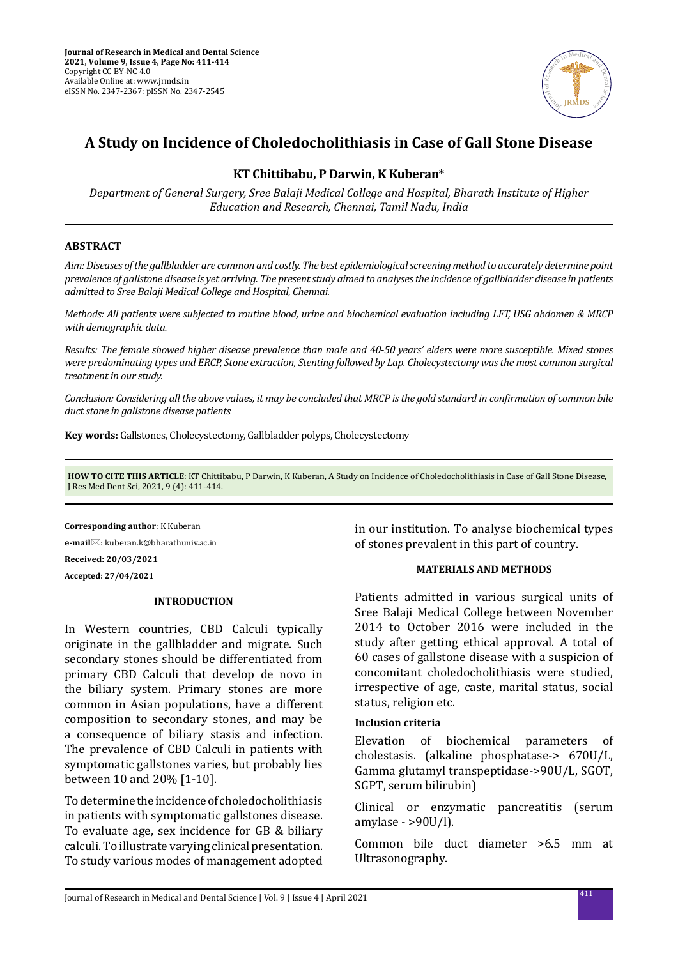

# **A Study on Incidence of Choledocholithiasis in Case of Gall Stone Disease**

# **KT Chittibabu, P Darwin, K Kuberan\***

*Department of General Surgery, Sree Balaji Medical College and Hospital, Bharath Institute of Higher Education and Research, Chennai, Tamil Nadu, India*

# **ABSTRACT**

*Aim: Diseases of the gallbladder are common and costly. The best epidemiological screening method to accurately determine point prevalence of gallstone disease is yet arriving. The present study aimed to analyses the incidence of gallbladder disease in patients admitted to Sree Balaji Medical College and Hospital, Chennai.* 

*Methods: All patients were subjected to routine blood, urine and biochemical evaluation including LFT, USG abdomen & MRCP with demographic data.*

*Results: The female showed higher disease prevalence than male and 40-50 years' elders were more susceptible. Mixed stones were predominating types and ERCP, Stone extraction, Stenting followed by Lap. Cholecystectomy was the most common surgical treatment in our study.*

*Conclusion: Considering all the above values, it may be concluded that MRCP is the gold standard in confirmation of common bile duct stone in gallstone disease patients*

**Key words:** Gallstones, Cholecystectomy, Gallbladder polyps, Cholecystectomy

**HOW TO CITE THIS ARTICLE**: KT Chittibabu, P Darwin, K Kuberan, A Study on Incidence of Choledocholithiasis in Case of Gall Stone Disease, J Res Med Dent Sci, 2021, 9 (4): 411-414.

**Corresponding author**: K Kuberan **e-mail**: kuberan.k@bharathuniv.ac.in **Received: 20/03/2021 Accepted: 27/04/2021**

# **INTRODUCTION**

In Western countries, CBD Calculi typically originate in the gallbladder and migrate. Such secondary stones should be differentiated from primary CBD Calculi that develop de novo in the biliary system. Primary stones are more common in Asian populations, have a different composition to secondary stones, and may be a consequence of biliary stasis and infection. The prevalence of CBD Calculi in patients with symptomatic gallstones varies, but probably lies between 10 and 20% [1-10].

To determine the incidence of choledocholithiasis in patients with symptomatic gallstones disease. To evaluate age, sex incidence for GB & biliary calculi. To illustrate varying clinical presentation. To study various modes of management adopted in our institution. To analyse biochemical types of stones prevalent in this part of country.

# **MATERIALS AND METHODS**

Patients admitted in various surgical units of Sree Balaji Medical College between November 2014 to October 2016 were included in the study after getting ethical approval. A total of 60 cases of gallstone disease with a suspicion of concomitant choledocholithiasis were studied, irrespective of age, caste, marital status, social status, religion etc.

# **Inclusion criteria**

Elevation of biochemical parameters of cholestasis. (alkaline phosphatase-> 670U/L, Gamma glutamyl transpeptidase->90U/L, SGOT, SGPT, serum bilirubin)

Clinical or enzymatic pancreatitis (serum amylase - >90U/l).

Common bile duct diameter >6.5 mm at Ultrasonography.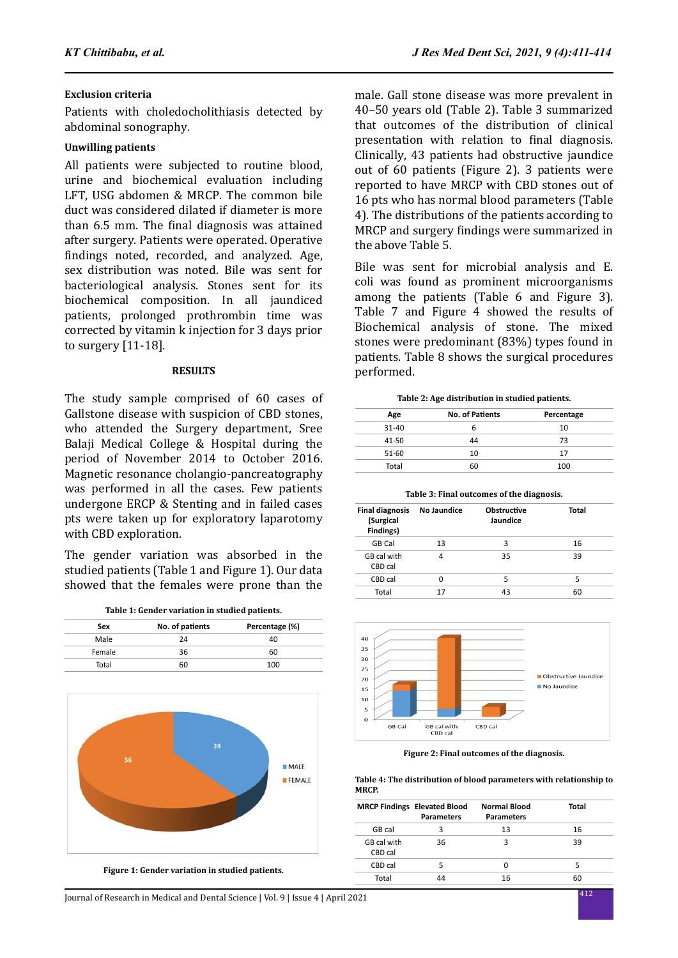# **Exclusion criteria**

Patients with choledocholithiasis detected by abdominal sonography.

# **Unwilling patients**

All patients were subjected to routine blood, urine and biochemical evaluation including LFT, USG abdomen & MRCP. The common bile duct was considered dilated if diameter is more than 6.5 mm. The final diagnosis was attained after surgery. Patients were operated. Operative findings noted, recorded, and analyzed. Age, sex distribution was noted. Bile was sent for bacteriological analysis. Stones sent for its biochemical composition. In all jaundiced patients, prolonged prothrombin time was corrected by vitamin k injection for 3 days prior to surgery [11-18].

# **RESULTS**

The study sample comprised of 60 cases of Gallstone disease with suspicion of CBD stones, who attended the Surgery department, Sree Balaji Medical College & Hospital during the period of November 2014 to October 2016. Magnetic resonance cholangio-pancreatography was performed in all the cases. Few patients undergone ERCP & Stenting and in failed cases pts were taken up for exploratory laparotomy with CBD exploration.

The gender variation was absorbed in the studied patients (Table 1 and Figure 1). Our data showed that the females were prone than the

|  |  |  |  | Table 1: Gender variation in studied patients. |  |  |  |
|--|--|--|--|------------------------------------------------|--|--|--|
|--|--|--|--|------------------------------------------------|--|--|--|

| Sex    | No. of patients | Percentage (%) |
|--------|-----------------|----------------|
| Male   | 24              | 40             |
| Female | 36              | 60             |
| Total  | 60              | 100            |



**Figure 1: Gender variation in studied patients.**

male. Gall stone disease was more prevalent in 40–50 years old (Table 2). Table 3 summarized that outcomes of the distribution of clinical presentation with relation to final diagnosis. Clinically, 43 patients had obstructive jaundice out of 60 patients (Figure 2). 3 patients were reported to have MRCP with CBD stones out of 16 pts who has normal blood parameters (Table 4). The distributions of the patients according to MRCP and surgery findings were summarized in the above Table 5.

Bile was sent for microbial analysis and E. coli was found as prominent microorganisms among the patients (Table 6 and Figure 3). Table 7 and Figure 4 showed the results of Biochemical analysis of stone. The mixed stones were predominant (83%) types found in patients. Table 8 shows the surgical procedures performed.

|  | Table 2: Age distribution in studied patients. |  |  |
|--|------------------------------------------------|--|--|
|  |                                                |  |  |

| Age       | <b>No. of Patients</b> | Percentage |
|-----------|------------------------|------------|
| $31 - 40$ | ь                      | 10         |
| $41 - 50$ | 44                     | 73         |
| 51-60     | 10                     | 17         |
| Total     | 60                     | 100        |
|           |                        |            |

**Table 3: Final outcomes of the diagnosis.**

| <b>Final diagnosis</b><br>(Surgical<br>Findings) | No Jaundice | <b>Obstructive</b><br>Jaundice | Total |
|--------------------------------------------------|-------------|--------------------------------|-------|
| GB Cal                                           | 13          | ς                              | 16    |
| GB cal with<br>CBD cal                           | 4           | 35                             | 39    |
| CBD cal                                          | ŋ           | 5                              | 5     |
| Total                                            | 17          | 43                             | 60    |



**Figure 2: Final outcomes of the diagnosis.**

**Table 4: The distribution of blood parameters with relationship to MRCP.**

|                        | <b>MRCP Findings Elevated Blood</b><br><b>Parameters</b> | <b>Normal Blood</b><br><b>Parameters</b> | Total |
|------------------------|----------------------------------------------------------|------------------------------------------|-------|
| GB cal                 | з                                                        | 13                                       | 16    |
| GB cal with<br>CBD cal | 36                                                       | З                                        | 39    |
| CBD cal                |                                                          | Ω                                        | 5     |
| Total                  | лл                                                       | 16                                       | 60    |
|                        |                                                          |                                          |       |

<sup>412</sup> Journal of Research in Medical and Dental Science | Vol. 9 | Issue 4 | April 2021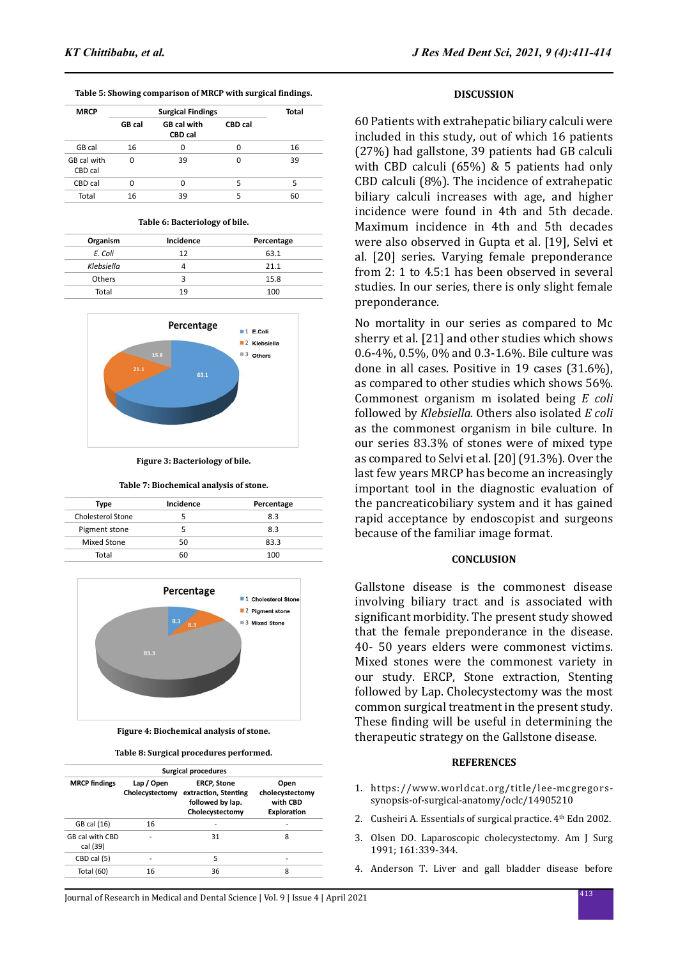| Table 5: Showing comparison of MRCP with surgical findings. |
|-------------------------------------------------------------|
|-------------------------------------------------------------|

| <b>MRCP</b>            | <b>Surgical Findings</b> |                               |         | Total |
|------------------------|--------------------------|-------------------------------|---------|-------|
|                        | GB cal                   | GB cal with<br><b>CBD</b> cal | CBD cal |       |
| GB cal                 | 16                       | 0                             | 0       | 16    |
| GB cal with<br>CBD cal | ŋ                        | 39                            | ŋ       | 39    |
| CBD cal                |                          | ŋ                             | 5       | 5     |
| Total                  | 16                       | 39                            | 5       | 60    |

#### **Table 6: Bacteriology of bile.**

| Organism   | Incidence | Percentage |
|------------|-----------|------------|
| E. Coli    | 12        | 63.1       |
| Klebsiella |           | 21.1       |
| Others     |           | 15.8       |
| Total      | 19        | 100        |



**Figure 3: Bacteriology of bile.**

**Table 7: Biochemical analysis of stone.**

| Type              | Incidence | Percentage |
|-------------------|-----------|------------|
| Cholesterol Stone |           | 83         |
| Pigment stone     |           | 83         |
| Mixed Stone       | 50        | 83.3       |
| Total             | RΠ        | 100        |



**Figure 4: Biochemical analysis of stone.**

**Table 8: Surgical procedures performed.**

| <b>Surgical procedures</b>  |                               |                                                                                   |                                                    |  |  |  |
|-----------------------------|-------------------------------|-----------------------------------------------------------------------------------|----------------------------------------------------|--|--|--|
| <b>MRCP</b> findings        | Lap / Open<br>Cholecystectomy | <b>ERCP, Stone</b><br>extraction, Stenting<br>followed by lap.<br>Cholecystectomy | Open<br>cholecystectomy<br>with CBD<br>Exploration |  |  |  |
| GB cal (16)                 | 16                            |                                                                                   |                                                    |  |  |  |
| GB cal with CBD<br>cal (39) |                               | 31                                                                                | 8                                                  |  |  |  |
| CBD cal (5)                 |                               | 5                                                                                 |                                                    |  |  |  |
| Total (60)                  | 16                            | 36                                                                                | 8                                                  |  |  |  |

<sup>413</sup> Journal of Research in Medical and Dental Science | Vol. 9 | Issue 4 | April 2021

#### **DISCUSSION**

60 Patients with extrahepatic biliary calculi were included in this study, out of which 16 patients (27%) had gallstone, 39 patients had GB calculi with CBD calculi (65%) & 5 patients had only CBD calculi (8%). The incidence of extrahepatic biliary calculi increases with age, and higher incidence were found in 4th and 5th decade. Maximum incidence in 4th and 5th decades were also observed in Gupta et al. [19], Selvi et al. [20] series. Varying female preponderance from 2: 1 to 4.5:1 has been observed in several studies. In our series, there is only slight female preponderance.

No mortality in our series as compared to Mc sherry et al. [21] and other studies which shows 0.6-4%, 0.5%, 0% and 0.3-1.6%. Bile culture was done in all cases. Positive in 19 cases (31.6%), as compared to other studies which shows 56%. Commonest organism m isolated being *E coli* followed by *Klebsiella.* Others also isolated *E coli* as the commonest organism in bile culture. In our series 83.3% of stones were of mixed type as compared to Selvi et al. [20] (91.3%). Over the last few years MRCP has become an increasingly important tool in the diagnostic evaluation of the pancreaticobiliary system and it has gained rapid acceptance by endoscopist and surgeons because of the familiar image format.

#### **CONCLUSION**

Gallstone disease is the commonest disease involving biliary tract and is associated with significant morbidity. The present study showed that the female preponderance in the disease. 40- 50 years elders were commonest victims. Mixed stones were the commonest variety in our study. ERCP, Stone extraction, Stenting followed by Lap. Cholecystectomy was the most common surgical treatment in the present study. These finding will be useful in determining the therapeutic strategy on the Gallstone disease.

#### **REFERENCES**

- 1. https://www.worldcat.org/title/lee-mcgregorssynopsis-of-surgical-anatomy/oclc/14905210
- 2. Cusheiri A. Essentials of surgical practice. 4<sup>th</sup> Edn 2002.
- 3. Olsen DO. Laparoscopic cholecystectomy. Am J Surg 1991; 161:339-344.
- 4. Anderson T. Liver and gall bladder disease before